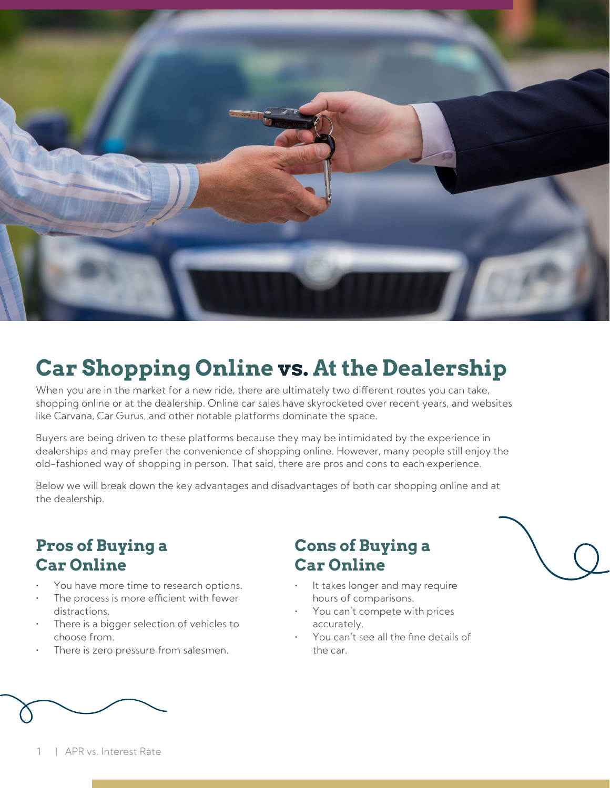

# **Car Shopping Online vs. At the Dealership**

When you are in the market for a new ride, there are ultimately two different routes you can take, shopping online or at the dealership. Online car sales have skyrocketed over recent years, and websites like Carvana, Car Gurus, and other notable platforms dominate the space.

Buyers are being driven to these platforms because they may be intimidated by the experience in dealerships and may prefer the convenience of shopping online. However, many people still enjoy the old-fashioned way of shopping in person. That said, there are pros and cons to each experience.

Below we will break down the key advantages and disadvantages of both car shopping online and at the dealership.

### **Pros of Buying a Car Online**

- You have more time to research options.
- The process is more efficient with fewer distractions.
- There is a bigger selection of vehicles to choose from.
- There is zero pressure from salesmen.

#### **Cons of Buying a Car Online**

- It takes longer and may require hours of comparisons.
- You can't compete with prices accurately.
- You can't see all the fine details of the car.